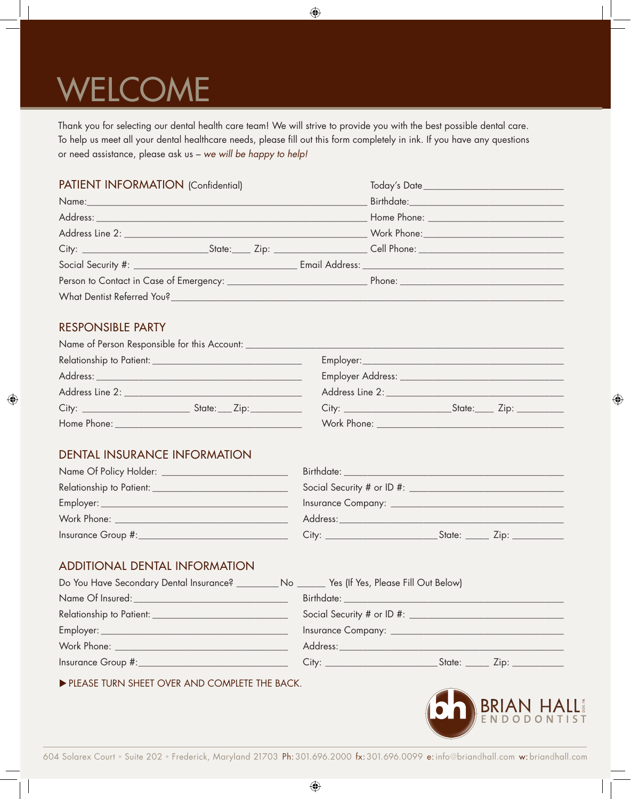# WELCOME

Thank you for selecting our dental health care team! We will strive to provide you with the best possible dental care. To help us meet all your dental healthcare needs, please fill out this form completely in ink. If you have any questions or need assistance, please ask us – *we will be happy to help!*

| PATIENT INFORMATION (Confidential)                                                                                                                                                                                             |  |  |  |                               |
|--------------------------------------------------------------------------------------------------------------------------------------------------------------------------------------------------------------------------------|--|--|--|-------------------------------|
|                                                                                                                                                                                                                                |  |  |  |                               |
| Address: Note and the contract of the contract of the contract of the contract of the contract of the contract of the contract of the contract of the contract of the contract of the contract of the contract of the contract |  |  |  |                               |
|                                                                                                                                                                                                                                |  |  |  | Work Phone: _________________ |
|                                                                                                                                                                                                                                |  |  |  |                               |
|                                                                                                                                                                                                                                |  |  |  |                               |
|                                                                                                                                                                                                                                |  |  |  |                               |
|                                                                                                                                                                                                                                |  |  |  |                               |
|                                                                                                                                                                                                                                |  |  |  |                               |

## responsible party

| Name of Person Responsible for this Account: |                 |                                       |                            |  |
|----------------------------------------------|-----------------|---------------------------------------|----------------------------|--|
|                                              |                 |                                       |                            |  |
|                                              |                 | Employer Address: ________________    |                            |  |
|                                              |                 | Address Line 2: Address New York 1997 |                            |  |
|                                              | $State:$ $Zip:$ |                                       | _State:____ Zip: _________ |  |
| Home Phone:                                  |                 | Work Phone:                           |                            |  |

## dental insurance information

| Name Of Policy Holder:   | Birthdate:                     |
|--------------------------|--------------------------------|
| Relationship to Patient: | Social Security # or ID #:     |
| $Employer: \_\_$         | Insurance Company: ___________ |
| Work Phone:              | Address:                       |
| Insurance Group #:_      | State:<br>Citv:<br>∠ip:        |

## additional dental information

| Do You Have Secondary Dental Insurance? _________ No ______ Yes (If Yes, Please Fill Out Below) |                                                                                                                                                                                                                                |
|-------------------------------------------------------------------------------------------------|--------------------------------------------------------------------------------------------------------------------------------------------------------------------------------------------------------------------------------|
|                                                                                                 |                                                                                                                                                                                                                                |
|                                                                                                 |                                                                                                                                                                                                                                |
|                                                                                                 | Insurance Company: <u>_____________________</u>                                                                                                                                                                                |
|                                                                                                 | Address: Andreas Address and Address and Address and Address and Address and Address and Address and Address and Address and Address and Address and Address and Address and Address and Address and Address and Address and A |
|                                                                                                 | _State: _____ Zip: __________                                                                                                                                                                                                  |

 $\blacktriangleright$  PLEASE TURN SHEET OVER AND COMPLETE THE BACK.